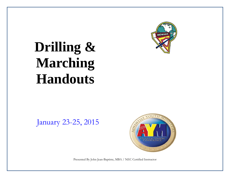

# **Drilling & Marching Handouts**

# January 23-25, 2015



Presented By John Jean-Baptiste, MBA / NEC Certified Instructor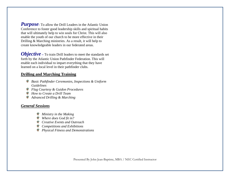*Purpose* To allow the Drill Leaders in the Atlantic Union Conference to foster good leadership skills and spiritual habits that will ultimately help to win souls for Christ. This will also enable the youth of our church to be more effective in their Drilling & Marching ministries. As a result, it will help to create knowledgeable leaders in our federated areas.

*Objective* – To train Drill leaders to meet the standards set forth by the Atlantic Union Pathfinder Federation. This will enable each individual to impart everything that they have learned on a local level in their pathfinder clubs.

#### **Drilling and Marching Training**

- *Basic Pathfinder Ceremonies, Inspections & Uniform Guidelines*
- *Flag Courtesy & Guidon Procedures*
- *How to Create a Drill Team*
- *Advanced Drilling & Marching*

#### *General Sessions*

- *Ministry in the Making*
- *Where does God fit in?*
- *Creative Events and Outreach*
- *Competitions and Exhibitions*
- *Physical Fitness and Demonstrations*

Presented By John Jean-Baptiste, MBA / NEC Certified Instructor